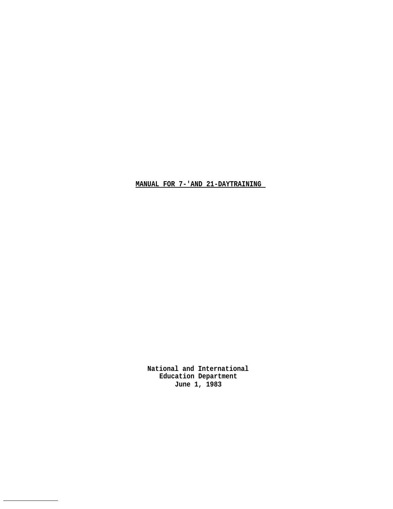**MANUAL FOR 7-'AND 21-DAYTRAINING** 

**National and International Education Department June 1, 1983**

 $\overline{\phantom{a}}$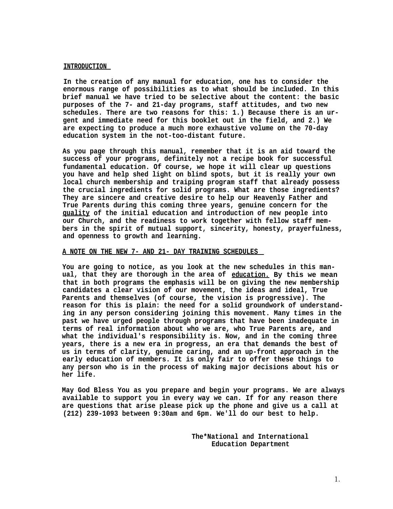#### **INTRODUCTION**

**In the creation of any manual for education, one has to consider the enormous range of possibilities as to what should be included. In this brief manual we have tried to be selective about the content: the basic purposes of the 7- and 21-day programs, staff attitudes, and two new schedules. There are two reasons for this: 1.) Because there is an urgent and immediate need for this booklet out in the field, and 2.) We are expecting to produce a much more exhaustive volume on the 70-day education system in the not-too-distant future.**

**As you page through this manual, remember that it is an aid toward the success of your programs, definitely not a recipe book for successful fundamental education. Of course, we hope it will clear up questions you have and help shed light on blind spots, but it is really your own local church membership and traiping program staff that already possess the crucial ingredients for solid programs. What are those ingredients? They are sincere and creative desire to help our Heavenly Father and True Parents during this coming three years, genuine concern for the quality of the initial education and introduction of new people into our Church, and the readiness to work together with fellow staff members in the spirit of mutual support, sincerity, honesty, prayerfulness, and openness to growth and learning.**

# **A NOTE ON THE NEW 7- AND 21- DAY TRAINING SCHEDULES**

**You are going to notice, as you look at the new schedules in this manual, that they are thorough in the area of education. By this we mean that in both programs the emphasis will be on giving the new membership candidates a clear vision of our movement, the ideas and ideal, True Parents and themselves (of course, the vision is progressive). The reason for this is plain: the need for a solid groundwork of understanding in any person considering joining this movement. Many times in the past we have urged people through programs that have been inadequate in terms of real information about who we are, who True Parents are, and what the individual's responsibility is. Now, and in the coming three years, there is a new era in progress, an era that demands the best of us in terms of clarity, genuine caring, and an up-front approach in the early education of members. It is only fair to offer these things to any person who is in the process of making major decisions about his or her life.**

**May God Bless You as you prepare and begin your programs. We are always available to support you in every way we can. If for any reason there are questions that arise please pick up the phone and give us a call at (212) 239-1093 between 9:30am and 6pm. We'll do our best to help.**

> **The\*National and International Education Department**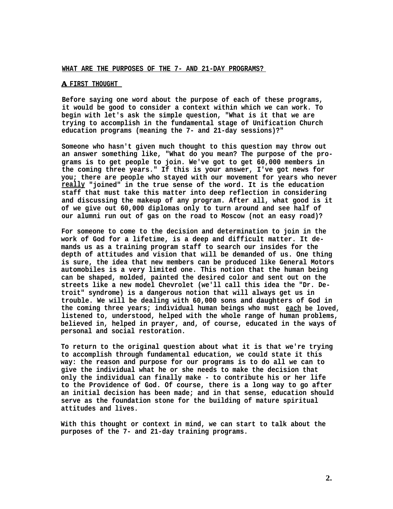#### **WHAT ARE THE PURPOSES OF THE 7- AND 21-DAY PROGRAMS?**

## **A FIRST THOUGHT**

**Before saying one word about the purpose of each of these programs, it would be good to consider a context within which we can work. To begin with let's ask the simple question, "What is it that we are trying to accomplish in the fundamental stage of Unification Church education programs (meaning the 7- and 21-day sessions)?"**

**Someone who hasn't given much thought to this question may throw out an answer something like, "What do you mean? The purpose of the programs is to get people to join. We've got to get 60,000 members in the coming three years." If this is your answer, I've got news for you; there are people who stayed with our movement for years who never really "joined" in the true sense of the word. It is the education staff that must take this matter into deep reflection in considering and discussing the makeup of any program. After all, what good is it of we give out 60,000 diplomas only to turn around and see half of our alumni run out of gas on the road to Moscow (not an easy road)?**

**For someone to come to the decision and determination to join in the work of God for a lifetime, is a deep and difficult matter. It demands us as a training program staff to search our insides for the depth of attitudes and vision that will be demanded of us. One thing is sure, the idea that new members can be produced like General Motors automobiles is a very limited one. This notion that the human being can be shaped, molded, painted the desired color and sent out on the streets like a new model Chevrolet (we'll call this idea the "Dr. Detroit" syndrome) is a dangerous notion that will always get us in trouble. We will be dealing with 60,000 sons and daughters of God in the coming three years; individual human beings who must each be loved, listened to, understood, helped with the whole range of human problems, believed in, helped in prayer, and, of course, educated in the ways of personal and social restoration.**

**To return to the original question about what it is that we're trying to accomplish through fundamental education, we could state it this way: the reason and purpose for our programs is to do all we can to give the individual what he or she needs to make the decision that only the individual can finally make - to contribute his or her life to the Providence of God. Of course, there is a long way to go after an initial decision has been made; and in that sense, education should serve as the foundation stone for the building of mature spiritual attitudes and lives.**

**With this thought or context in mind, we can start to talk about the purposes of the 7- and 21-day training programs.**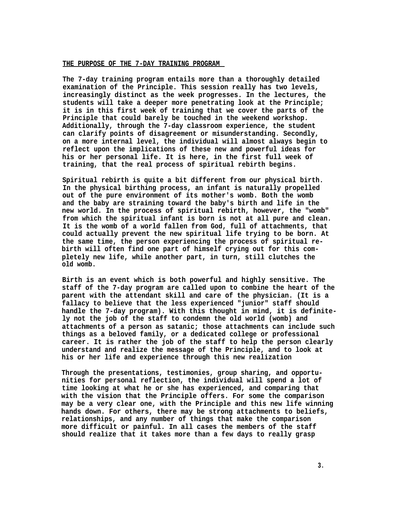#### **THE PURPOSE OF THE 7-DAY TRAINING PROGRAM**

**The 7-day training program entails more than a thoroughly detailed examination of the Principle. This session really has two levels, increasingly distinct as the week progresses. In the lectures, the students will take a deeper more penetrating look at the Principle; it is in this first week of training that we cover the parts of the Principle that could barely be touched in the weekend workshop. Additionally, through the 7-day classroom experience, the student can clarify points of disagreement or misunderstanding. Secondly, on a more internal level, the individual will almost always begin to reflect upon the implications of these new and powerful ideas for his or her personal life. It is here, in the first full week of training, that the real process of spiritual rebirth begins.**

**Spiritual rebirth is quite a bit different from our physical birth. In the physical birthing process, an infant is naturally propelled out of the pure environment of its mother's womb. Both the womb and the baby are straining toward the baby's birth and life in the new world. In the process of spiritual rebirth, however, the "womb" from which the spiritual infant is born is not at all pure and clean. It is the womb of a world fallen from God, full of attachments, that could actually prevent the new spiritual life trying to be born. At the same time, the person experiencing the process of spiritual rebirth will often find one part of himself crying out for this completely new life, while another part, in turn, still clutches the old womb.**

**Birth is an event which is both powerful and highly sensitive. The staff of the 7-day program are called upon to combine the heart of the parent with the attendant skill and care of the physician. (It is a fallacy to believe that the less experienced "junior" staff should handle the 7-day program). With this thought in mind, it is definitely not the job of the staff to condemn the old world (womb) and attachments of a person as satanic; those attachments can include such things as a beloved family, or a dedicated college or professional career. It is rather the job of the staff to help the person clearly understand and realize the message of the Principle, and to look at his or her life and experience through this new realization**

**Through the presentations, testimonies, group sharing, and opportunities for personal reflection, the individual will spend a lot of time looking at what he or she has experienced, and comparing that with the vision that the Principle offers. For some the comparison may be a very clear one, with the Principle and this new life winning hands down. For others, there may be strong attachments to beliefs, relationships, and any number of things that make the comparison more difficult or painful. In all cases the members of the staff should realize that it takes more than a few days to really grasp**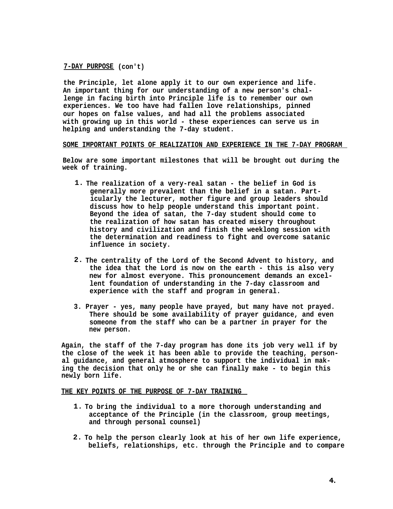**7-DAY PURPOSE (con't)**

**the Principle, let alone apply it to our own experience and life. An important thing for our understanding of a new person's challenge in facing birth into Principle life is to remember our own experiences. We too have had fallen love relationships, pinned our hopes on false values, and had all the problems associated with growing up in this world - these experiences can serve us in helping and understanding the 7-day student.**

## **SOME IMPORTANT POINTS OF REALIZATION AND EXPERIENCE IN THE 7-DAY PROGRAM**

**Below are some important milestones that will be brought out during the week of training.**

- **1. The realization of a very-real satan the belief in God is generally more prevalent than the belief in a satan. Particularly the lecturer, mother figure and group leaders should discuss how to help people understand this important point. Beyond the idea of satan, the 7-day student should come to the realization of how satan has created misery throughout history and civilization and finish the weeklong session with the determination and readiness to fight and overcome satanic influence in society.**
- **2. The centrality of the Lord of the Second Advent to history, and the idea that the Lord is now on the earth - this is also very new for almost everyone. This pronouncement demands an excellent foundation of understanding in the 7-day classroom and experience with the staff and program in general.**
- **3. Prayer yes, many people have prayed, but many have not prayed. There should be some availability of prayer guidance, and even someone from the staff who can be a partner in prayer for the new person.**

**Again, the staff of the 7-day program has done its job very well if by the close of the week it has been able to provide the teaching, personal guidance, and general atmosphere to support the individual in making the decision that only he or she can finally make - to begin this newly born life.**

## **THE KEY POINTS OF THE PURPOSE OF 7-DAY TRAINING**

- **1. To bring the individual to a more thorough understanding and acceptance of the Principle (in the classroom, group meetings, and through personal counsel)**
- **2. To help the person clearly look at his of her own life experience, beliefs, relationships, etc. through the Principle and to compare**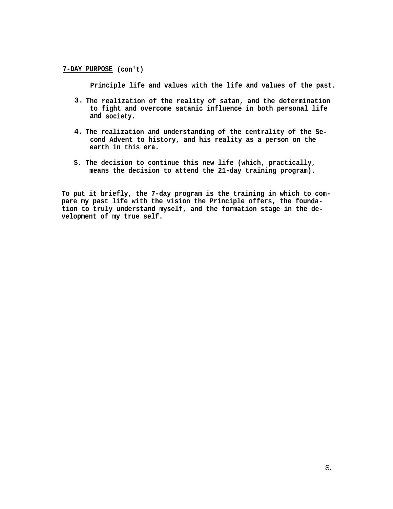**7-DAY PURPOSE (con't)**

**Principle life and values with the life and values of the past.**

- **3. The realization of the reality of satan, and the determination to fight and overcome satanic influence in both personal life and society.**
- **4. The realization and understanding of the centrality of the Second Advent to history, and his reality as a person on the earth in this era.**
- **S. The decision to continue this new life (which, practically, means the decision to attend the 21-day training program).**

**To put it briefly, the 7-day program is the training in which to compare my past life with the vision the Principle offers, the foundation to truly understand myself, and the formation stage in the development of my true self.**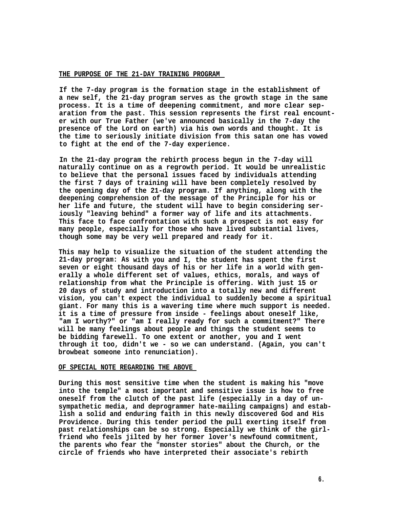## **THE PURPOSE OF THE 21-DAY TRAINING PROGRAM**

**If the 7-day program is the formation stage in the establishment of a new self, the 21-day program serves as the growth stage in the same process. It is a time of deepening commitment, and more clear separation from the past. This session represents the first real encounter with our True Father (we've announced basically in the 7-day the presence of the Lord on earth) via his own words and thought. It is the time to seriously initiate division from this satan one has vowed to fight at the end of the 7-day experience.**

**In the 21-day program the rebirth process begun in the 7-day will naturally continue on as a regrowth period. It would be unrealistic to believe that the personal issues faced by individuals attending the first 7 days of training will have been completely resolved by the opening day of the 21-day program. If anything, along with the deepening comprehension of the message of the Principle for his or her life and future, the student will have to begin considering seriously "leaving behind" a former way of life and its attachments. This face to face confrontation with such a prospect is not easy for many people, especially for those who have lived substantial lives, though some may be very well prepared and ready for it.**

**This may help to visualize the situation of the student attending the 21-day program: As with you and I, the student has spent the first seven or eight thousand days of his or her life in a world with generally a whole different set of values, ethics, morals, and ways of relationship from what the Principle is offering. With just 15 or 20 days of study and introduction into a totally new and different vision, you can't expect the individual to suddenly become a spiritual giant. For many this is a wavering time where much support is needed. it is a time of pressure from inside - feelings about oneself like, "am I worthy?" or "am I really ready for such a commitment?" There will be many feelings about people and things the student seems to be bidding farewell. To one extent or another, you and I went through it too, didn't we - so we can understand. (Again, you can't browbeat someone into renunciation).**

#### **OF SPECIAL NOTE REGARDING THE ABOVE**

**During this most sensitive time when the student is making his "move into the temple" a most important and sensitive issue is how to free oneself from the clutch of the past life (especially in a day of unsympathetic media, and deprogrammer hate-mailing campaigns) and establish a solid and enduring faith in this newly discovered God and His Providence. During this tender period the pull exerting itself from past relationships can be so strong. Especially we think of the girlfriend who feels jilted by her former lover's newfound commitment, the parents who fear the "monster stories" about the Church, or the circle of friends who have interpreted their associate's rebirth**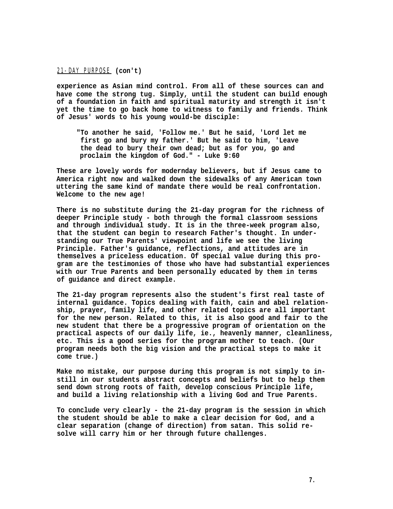21-DAY PURPOSE **(con't)**

**experience as Asian mind control. From all of these sources can and have come the strong tug. Simply, until the student can build enough of a foundation in faith and spiritual maturity and strength it isn't yet the time to go back home to witness to family and friends. Think of Jesus' words to his young would-be disciple:**

**"To another he said, 'Follow me.' But he said, 'Lord let me first go and bury my father.' But he said to him, 'Leave the dead to bury their own dead; but as for you, go and proclaim the kingdom of God." - Luke 9:60**

**These are lovely words for modernday believers, but if Jesus came to America right now and walked down the sidewalks of any American town uttering the same kind of mandate there would be real confrontation. Welcome to the new age!**

**There is no substitute during the 21-day program for the richness of deeper Principle study - both through the formal classroom sessions and through individual study. It is in the three-week program also, that the student can begin to research Father's thought. In understanding our True Parents' viewpoint and life we see the living Principle. Father's guidance, reflections, and attitudes are in themselves a priceless education. Of special value during this program are the testimonies of those who have had substantial experiences with our True Parents and been personally educated by them in terms of guidance and direct example.**

**The 21-day program represents also the student's first real taste of internal guidance. Topics dealing with faith, cain and abel relationship, prayer, family life, and other related topics are all important for the new person. Related to this, it is also good and fair to the new student that there be a progressive program of orientation on the practical aspects of our daily life, ie., heavenly manner, cleanliness, etc. This is a good series for the program mother to teach. (Our program needs both the big vision and the practical steps to make it come true.)**

**Make no mistake, our purpose during this program is not simply to instill in our students abstract concepts and beliefs but to help them send down strong roots of faith, develop conscious Principle life, and build a living relationship with a living God and True Parents.**

**To conclude very clearly - the 21-day program is the session in which the student should be able to make a clear decision for God, and a clear separation (change of direction) from satan. This solid resolve will carry him or her through future challenges.**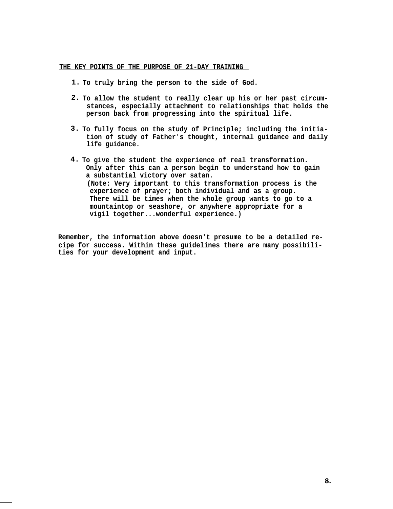# **THE KEY POINTS OF THE PURPOSE OF 21-DAY TRAINING**

- **1. To truly bring the person to the side of God.**
- **2. To allow the student to really clear up his or her past circumstances, especially attachment to relationships that holds the person back from progressing into the spiritual life.**
- **3. To fully focus on the study of Principle; including the initiation of study of Father's thought, internal guidance and daily life guidance.**
- **4. To give the student the experience of real transformation. Only after this can a person begin to understand how to gain a substantial victory over satan. (Note: Very important to this transformation process is the experience of prayer; both individual and as a group. There will be times when the whole group wants to go to a mountaintop or seashore, or anywhere appropriate for a vigil together...wonderful experience.)**

**Remember, the information above doesn't presume to be a detailed recipe for success. Within these guidelines there are many possibilities for your development and input.**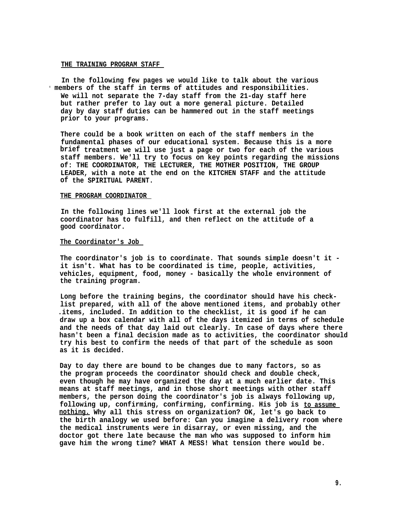#### **THE TRAINING PROGRAM STAFF**

**In the following few pages we would like to talk about the various • members of the staff in terms of attitudes and responsibilities. We will not separate the 7-day staff from the 21-day staff here but rather prefer to lay out a more general picture. Detailed day by day staff duties can be hammered out in the staff meetings prior to your programs.**

**There could be a book written on each of the staff members in the fundamental phases of our educational system. Because this is a more brief treatment we will use just a page or two for each of the various staff members. We'll try to focus on key points regarding the missions of: THE COORDINATOR, THE LECTURER, THE MOTHER POSITION, THE GROUP LEADER, with a note at the end on the KITCHEN STAFF and the attitude of the SPIRITUAL PARENT.**

## **THE PROGRAM COORDINATOR**

**In the following lines we'll look first at the external job the coordinator has to fulfill, and then reflect on the attitude of a good coordinator.**

### **The Coordinator's Job**

**The coordinator's job is to coordinate. That sounds simple doesn't it it isn't. What has to be coordinated is time, people, activities, vehicles, equipment, food, money - basically the whole environment of the training program.**

**Long before the training begins, the coordinator should have his checklist prepared, with all of the above mentioned items, and probably other .items, included. In addition to the checklist, it is good if he can draw up a box calendar with all of the days itemized in terms of schedule and the needs of that day laid out clearly. In case of days where there hasn't been a final decision made as to activities, the coordinator should try his best to confirm the needs of that part of the schedule as soon as it is decided.**

**Day to day there are bound to be changes due to many factors, so as the program proceeds the coordinator should check and double check, even though he may have organized the day at a much earlier date. This means at staff meetings, and in those short meetings with other staff members, the person doing the coordinator's job is always following up, following up, confirming, confirming, confirming. His job is to assume nothing. Why all this stress on organization? OK, let's go back to the birth analogy we used before: Can you imagine a delivery room where the medical instruments were in disarray, or even missing, and the doctor got there late because the man who was supposed to inform him gave him the wrong time? WHAT A MESS! What tension there would be.**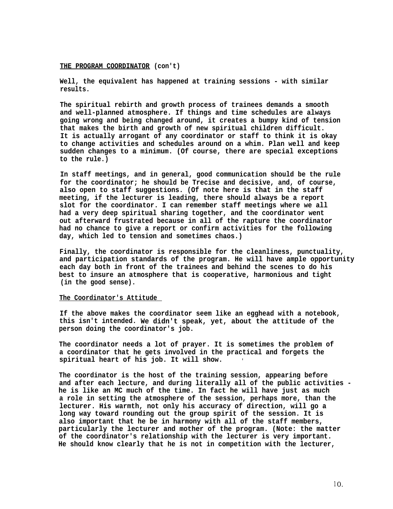#### **THE PROGRAM COORDINATOR (con't)**

**Well, the equivalent has happened at training sessions - with similar results.**

**The spiritual rebirth and growth process of trainees demands a smooth and well-planned atmosphere. If things and time schedules are always going wrong and being changed around, it creates a bumpy kind of tension that makes the birth and growth of new spiritual children difficult. It is actually arrogant of any coordinator or staff to think it is okay to change activities and schedules around on a whim. Plan well and keep sudden changes to a minimum. (Of course, there are special exceptions to the rule.)**

**In staff meetings, and in general, good communication should be the rule for the coordinator; he should be Trecise and decisive, and, of course, also open to staff suggestions. (Of note here is that in the staff meeting, if the lecturer is leading, there should always be a report slot for the coordinator. I can remember staff meetings where we all had a very deep spiritual sharing together, and the coordinator went out afterward frustrated because in all of the rapture the coordinator had no chance to give a report or confirm activities for the following day, which led to tension and sometimes chaos.)**

**Finally, the coordinator is responsible for the cleanliness, punctuality, and participation standards of the program. He will have ample opportunity each day both in front of the trainees and behind the scenes to do his best to insure an atmosphere that is cooperative, harmonious and tight (in the good sense).**

#### **The Coordinator's Attitude**

**If the above makes the coordinator seem like an egghead with a notebook, this isn't intended. We didn't speak, yet, about the attitude of the person doing the coordinator's job.**

**The coordinator needs a lot of prayer. It is sometimes the problem of a coordinator that he gets involved in the practical and forgets the spiritual heart of his job. It will show. •**

**The coordinator is the host of the training session, appearing before and after each lecture, and during literally all of the public activities he is like an MC much of the time. In fact he will have just as much a role in setting the atmosphere of the session, perhaps more, than the lecturer. His warmth, not only his accuracy of direction, will go a long way toward rounding out the group spirit of the session. It is also important that he be in harmony with all of the staff members, particularly the lecturer and mother of the program. (Note: the matter of the coordinator's relationship with the lecturer is very important. He should know clearly that he is not in competition with the lecturer,**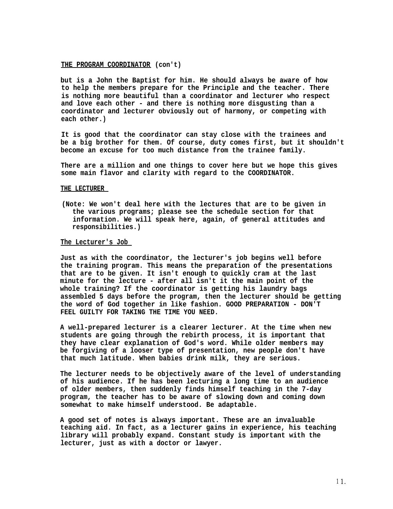### **THE PROGRAM COORDINATOR (con't)**

**but is a John the Baptist for him. He should always be aware of how to help the members prepare for the Principle and the teacher. There is nothing more beautiful than a coordinator and lecturer who respect and love each other - and there is nothing more disgusting than a coordinator and lecturer obviously out of harmony, or competing with each other.)**

**It is good that the coordinator can stay close with the trainees and be a big brother for them. Of course, duty comes first, but it shouldn't become an excuse for too much distance from the trainee family.**

**There are a million and one things to cover here but we hope this gives some main flavor and clarity with regard to the COORDINATOR.**

### **THE LECTURER**

**(Note: We won't deal here with the lectures that are to be given in the various programs; please see the schedule section for that information. We will speak here, again, of general attitudes and responsibilities.)**

#### **The Lecturer's Job**

**Just as with the coordinator, the lecturer's job begins well before the training program. This means the preparation of the presentations that are to be given. It isn't enough to quickly cram at the last minute for the lecture - after all isn't it the main point of the whole training? If the coordinator is getting his laundry bags assembled 5 days before the program, then the lecturer should be getting the word of God together in like fashion. GOOD PREPARATION - DON'T FEEL GUILTY FOR TAKING THE TIME YOU NEED.**

**A well-prepared lecturer is a clearer lecturer. At the time when new students are going through the rebirth process, it is important that they have clear explanation of God's word. While older members may be forgiving of a looser type of presentation, new people don't have that much latitude. When babies drink milk, they are serious.**

**The lecturer needs to be objectively aware of the level of understanding of his audience. If he has been lecturing a long time to an audience of older members, then suddenly finds himself teaching in the 7-day program, the teacher has to be aware of slowing down and coming down somewhat to make himself understood. Be adaptable.**

**A good set of notes is always important. These are an invaluable teaching aid. In fact, as a lecturer gains in experience, his teaching library will probably expand. Constant study is important with the lecturer, just as with a doctor or lawyer.**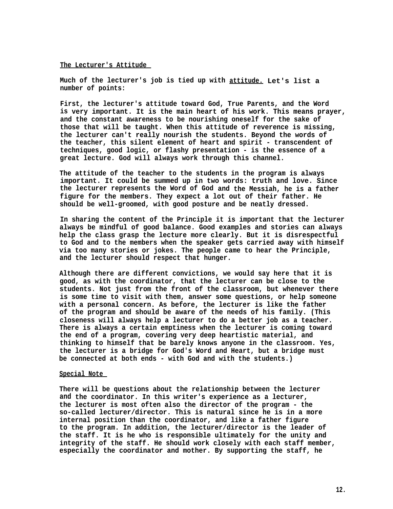### **The Lecturer's Attitude**

**Much of the lecturer's job is tied up with attitude. Let's list a number of points:**

**First, the lecturer's attitude toward God, True Parents, and the Word is very important. It is the main heart of his work. This means prayer, and the constant awareness to be nourishing oneself for the sake of those that will be taught. When this attitude of reverence is missing, the lecturer can't really nourish the students. Beyond the words of the teacher, this silent element of heart and spirit - transcendent of techniques, good logic, or flashy presentation - is the essence of a great lecture. God will always work through this channel.**

**The attitude of the teacher to the students in the program is always important. It could be summed up in two words: truth and love. Since the lecturer represents the Word of God and the Messiah, he is a father figure for the members. They expect a lot out of their father. He should be well-groomed, with good posture and be neatly dressed.**

**In sharing the content of the Principle it is important that the lecturer always be mindful of good balance. Good examples and stories can always help the class grasp the lecture more clearly. But it is disrespectful to God and to the members when the speaker gets carried away with himself via too many stories or jokes. The people came to hear the Principle, and the lecturer should respect that hunger.**

**Although there are different convictions, we would say here that it is good, as with the coordinator, that the lecturer can be close to the students. Not just from the front of the classroom, but whenever there is some time to visit with them, answer some questions, or help someone with a personal concern. As before, the lecturer is like the father of the program and should be aware of the needs of his family. (This closeness will always help a lecturer to do a better job as a teacher. There is always a certain emptiness when the lecturer is coming toward the end of a program, covering very deep heartistic material, and thinking to himself that be barely knows anyone in the classroom. Yes, the lecturer is a bridge for God's Word and Heart, but a bridge must be connected at both ends - with God and with the students.)**

#### **Special Note**

**There will be questions about the relationship between the lecturer and the coordinator. In this writer's experience as a lecturer, the lecturer is most often also the director of the program - the so-called lecturer/director. This is natural since he is in a more internal position than the coordinator, and like a father figure to the program. In addition, the lecturer/director is the leader of the staff. It is he who is responsible ultimately for the unity and integrity of the staff. He should work closely with each staff member, especially the coordinator and mother. By supporting the staff, he**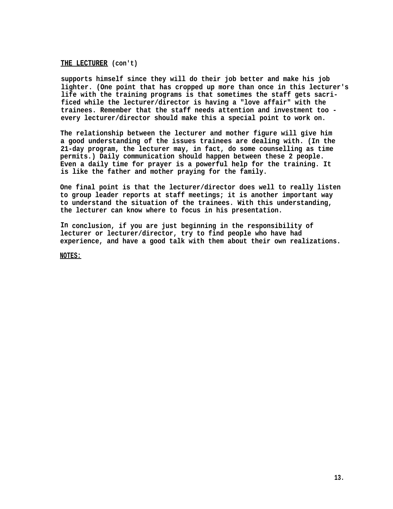## **THE LECTURER (con't)**

**supports himself since they will do their job better and make his job lighter. (One point that has cropped up more than once in this lecturer's life with the training programs is that sometimes the staff gets sacrificed while the lecturer/director is having a "love affair" with the trainees. Remember that the staff needs attention and investment too every lecturer/director should make this a special point to work on.**

**The relationship between the lecturer and mother figure will give him a good understanding of the issues trainees are dealing with. (In the 21-day program, the lecturer may, in fact, do some counselling as time permits.) Daily communication should happen between these 2 people. Even a daily time for prayer is a powerful help for the training. It is like the father and mother praying for the family.**

**One final point is that the lecturer/director does well to really listen to group leader reports at staff meetings; it is another important way to understand the situation of the trainees. With this understanding, the lecturer can know where to focus in his presentation.**

**In conclusion, if you are just beginning in the responsibility of lecturer or lecturer/director, try to find people who have had experience, and have a good talk with them about their own realizations.**

**NOTES:**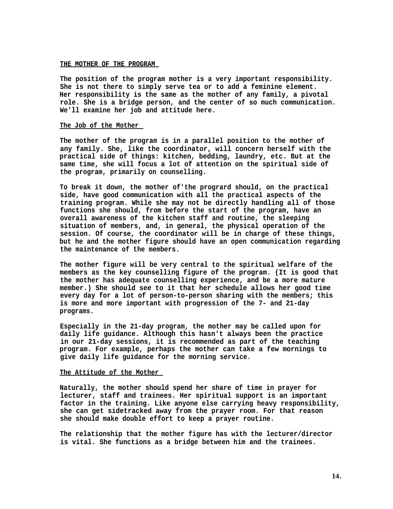#### **THE MOTHER OF THE PROGRAM**

**The position of the program mother is a very important responsibility. She is not there to simply serve tea or to add a feminine element. Her responsibility is the same as the mother of any family, a pivotal role. She is a bridge person, and the center of so much communication. We'll examine her job and attitude here.**

### **The Job of the Mother**

**The mother of the program is in a parallel position to the mother of any family. She, like the coordinator, will concern herself with the practical side of things: kitchen, bedding, laundry, etc. But at the same time, she will focus a lot of attention on the spiritual side of the program, primarily on counselling.**

**To break it down, the mother of'the progrard should, on the practical side, have good communication with all the practical aspects of the training program. While she may not be directly handling all of those functions she should, from before the start of the program, have an overall awareness of the kitchen staff and routine, the sleeping situation of members, and, in general, the physical operation of the session. Of course, the coordinator will be in charge of these things, but he and the mother figure should have an open communication regarding the maintenance of the members.**

**The mother figure will be very central to the spiritual welfare of the members as the key counselling figure of the program. (It is good that the mother has adequate counselling experience, and be a more mature member.) She should see to it that her schedule allows her good time every day for a lot of person-to-person sharing with the members; this is more and more important with progression of the 7- and 21-day programs.**

**Especially in the 21-day program, the mother may be called upon for daily life guidance. Although this hasn't always been the practice in our 21-day sessions, it is recommended as part of the teaching program. For example, perhaps the mother can take a few mornings to give daily life guidance for the morning service.**

## **The Attitude of the Mother**

**Naturally, the mother should spend her share of time in prayer for lecturer, staff and trainees. Her spiritual support is an important factor in the training. Like anyone else carrying heavy responsibility, she can get sidetracked away from the prayer room. For that reason she should make double effort to keep a prayer routine.**

**The relationship that the mother figure has with the lecturer/director is vital. She functions as a bridge between him and the trainees.**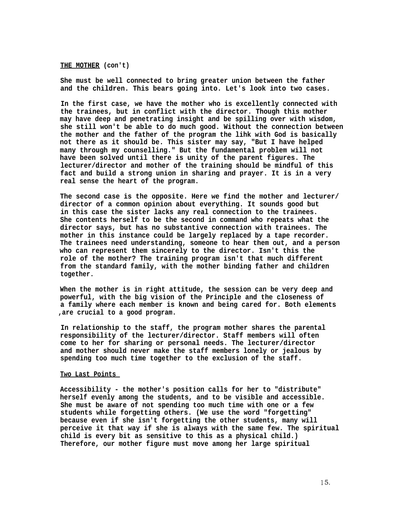#### **THE MOTHER (con't)**

**She must be well connected to bring greater union between the father and the children. This bears going into. Let's look into two cases.**

**In the first case, we have the mother who is excellently connected with the trainees, but in conflict with the director. Though this mother may have deep and penetrating insight and be spilling over with wisdom, she still won't be able to do much good. Without the connection between the mother and the father of the program the lihk with God is basically not there as it should be. This sister may say, "But I have helped many through my counselling." But the fundamental problem will not have been solved until there is unity of the parent figures. The lecturer/director and mother of the training should be mindful of this fact and build a strong union in sharing and prayer. It is in a very real sense the heart of the program.**

**The second case is the opposite. Here we find the mother and lecturer/ director of a common opinion about everything. It sounds good but in this case the sister lacks any real connection to the trainees. She contents herself to be the second in command who repeats what the director says, but has no substantive connection with trainees. The mother in this instance could be largely replaced by a tape recorder. The trainees need understanding, someone to hear them out, and a person who can represent them sincerely to the director. Isn't this the role of the mother? The training program isn't that much different from the standard family, with the mother binding father and children together.**

**When the mother is in right attitude, the session can be very deep and powerful, with the big vision of the Principle and the closeness of a family where each member is known and being cared for. Both elements ,are crucial to a good program.**

**In relationship to the staff, the program mother shares the parental responsibility of the lecturer/director. Staff members will often come to her for sharing or personal needs. The lecturer/director and mother should never make the staff members lonely or jealous by spending too much time together to the exclusion of the staff.**

#### **Two Last Points**

**Accessibility - the mother's position calls for her to "distribute" herself evenly among the students, and to be visible and accessible. She must be aware of not spending too much time with one or a few students while forgetting others. (We use the word "forgetting" because even if she isn't forgetting the other students, many will perceive it that way if she is always with the same few. The spiritual child is every bit as sensitive to this as a physical child.) Therefore, our mother figure must move among her large spiritual**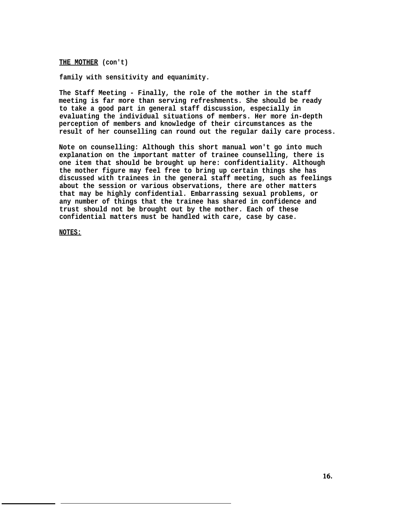**THE MOTHER (con't)**

**family with sensitivity and equanimity.**

**The Staff Meeting - Finally, the role of the mother in the staff meeting is far more than serving refreshments. She should be ready to take a good part in general staff discussion, especially in evaluating the individual situations of members. Her more in-depth perception of members and knowledge of their circumstances as the result of her counselling can round out the regular daily care process.**

**Note on counselling: Although this short manual won't go into much explanation on the important matter of trainee counselling, there is one item that should be brought up here: confidentiality. Although the mother figure may feel free to bring up certain things she has discussed with trainees in the general staff meeting, such as feelings about the session or various observations, there are other matters that may be highly confidential. Embarrassing sexual problems, or any number of things that the trainee has shared in confidence and trust should not be brought out by the mother. Each of these confidential matters must be handled with care, case by case.**

**NOTES:**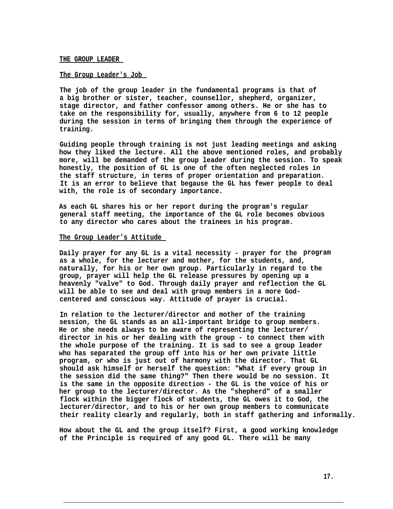### **THE GROUP LEADER**

## **The Group Leader's Job**

**The job of the group leader in the fundamental programs is that of a big brother or sister, teacher, counsellor, shepherd, organizer, stage director, and father confessor among others. He or she has to take on the responsibility for, usually, anywhere from 6 to 12 people during the session in terms of bringing them through the experience of training.**

**Guiding people through training is not just leading meetings and asking how they liked the lecture. All the above mentioned roles, and probably more, will be demanded of the group leader during the session. To speak honestly, the position of GL is one of the often neglected roles in the staff structure, in terms of proper orientation and preparation. It is an error to believe that begause the GL has fewer people to deal with, the role is of secondary importance.**

**As each GL shares his or her report during the program's regular general staff meeting, the importance of the GL role becomes obvious to any director who cares about the trainees in his program.**

#### **The Group Leader's Attitude**

**Daily prayer for any GL is a vital necessity - prayer for the program as a whole, for the lecturer and mother, for the students, and, naturally, for his or her own group. Particularly in regard to the group, prayer will help the GL release pressures by opening up a heavenly "valve" to God. Through daily prayer and reflection the GL will be able to see and deal with group members in a more Godcentered and conscious way. Attitude of prayer is crucial.**

**In relation to the lecturer/director and mother of the training session, the GL stands as an all-important bridge to group members. He or she needs always to be aware of representing the lecturer/ director in his or her dealing with the group - to connect them with the whole purpose of the training. It is sad to see a group leader who has separated the group off into his or her own private little program, or who is just out of harmony with the director. That GL should ask himself or herself the question: "What if every group in the session did the same thing?" Then there would be no session. It is the same in the opposite direction - the GL is the voice of his or her group to the lecturer/director. As the "shepherd" of a smaller flock within the bigger flock of students, the GL owes it to God, the lecturer/director, and to his or her own group members to communicate their reality clearly and regularly, both in staff gathering and informally.**

**How about the GL and the group itself? First, a good working knowledge of the Principle is required of any good GL. There will be many**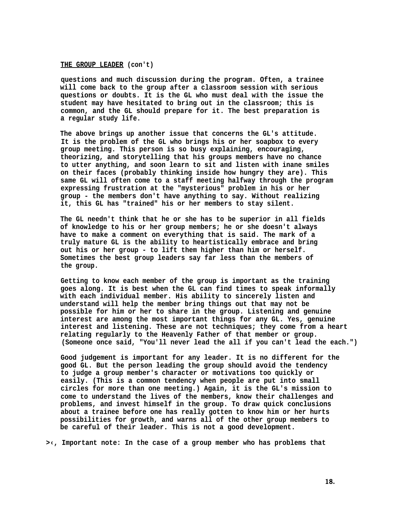## **THE GROUP LEADER (con't)**

**questions and much discussion during the program. Often, a trainee will come back to the group after a classroom session with serious questions or doubts. It is the GL who must deal with the issue the student may have hesitated to bring out in the classroom; this is common, and the GL should prepare for it. The best preparation is a regular study life.**

**The above brings up another issue that concerns the GL's attitude. It is the problem of the GL who brings his or her soapbox to every group meeting. This person is so busy explaining, encouraging, theorizing, and storytelling that his groups members have no chance to utter anything, and soon learn to sit and listen with inane smiles on their faces (probably thinking inside how hungry they are). This same GL will often come to a staff meeting halfway through the program expressing frustration at the "mysterious" problem in his or her group - the members don't have anything to say. Without realizing it, this GL has "trained" his or her members to stay silent.**

**The GL needn't think that he or she has to be superior in all fields of knowledge to his or her group members; he or she doesn't always have to make a comment on everything that is said. The mark of a truly mature GL is the ability to heartistically embrace and bring out his or her group - to lift them higher than him or herself. Sometimes the best group leaders say far less than the members of the group.**

**Getting to know each member of the group is important as the training goes along. It is best when the GL can find times to speak informally with each individual member. His ability to sincerely listen and understand will help the member bring things out that may not be possible for him or her to share in the group. Listening and genuine interest are among the most important things for any GL. Yes, genuine interest and listening. These are not techniques; they come from a heart relating regularly to the Heavenly Father of that member or group. (Someone once said, "You'll never lead the all if you can't lead the each.")**

**Good judgement is important for any leader. It is no different for the good GL. But the person leading the group should avoid the tendency to judge a group member's character or motivations too quickly or easily. (This is a common tendency when people are put into small circles for more than one meeting.) Again, it is the GL's mission to come to understand the lives of the members, know their challenges and problems, and invest himself in the group. To draw quick conclusions about a trainee before one has really gotten to know him or her hurts possibilities for growth, and warns all of the other group members to be careful of their leader. This is not a good development.**

**>‹, Important note: In the case of a group member who has problems that**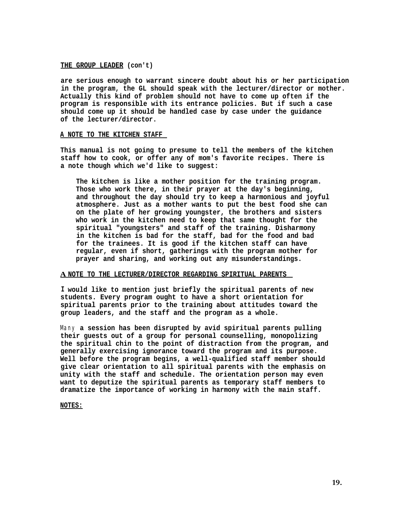### **THE GROUP LEADER (con't)**

**are serious enough to warrant sincere doubt about his or her participation in the program, the GL should speak with the lecturer/director or mother. Actually this kind of problem should not have to come up often if the program is responsible with its entrance policies. But if such a case should come up it should be handled case by case under the guidance of the lecturer/director.**

## **A NOTE TO THE KITCHEN STAFF**

**This manual is not going to presume to tell the members of the kitchen staff how to cook, or offer any of mom's favorite recipes. There is a note though which we'd like to suggest:**

**The kitchen is like a mother position for the training program. Those who work there, in their prayer at the day's beginning, and throughout the day should try to keep a harmonious and joyful atmosphere. Just as a mother wants to put the best food she can on the plate of her growing youngster, the brothers and sisters who work in the kitchen need to keep that same thought for the spiritual "youngsters" and staff of the training. Disharmony in the kitchen is bad for the staff, bad for the food and bad for the trainees. It is good if the kitchen staff can have regular, even if short, gatherings with the program mother for prayer and sharing, and working out any misunderstandings.**

### **A NOTE TO THE LECTURER/DIRECTOR REGARDING SPIRITUAL PARENTS**

**I would like to mention just briefly the spiritual parents of new students. Every program ought to have a short orientation for spiritual parents prior to the training about attitudes toward the group leaders, and the staff and the program as a whole.**

Many **a session has been disrupted by avid spiritual parents pulling their guests out of a group for personal counselling, monopolizing the spiritual chin to the point of distraction from the program, and generally exercising ignorance toward the program and its purpose. Well before the program begins, a well-qualified staff member should give clear orientation to all spiritual parents with the emphasis on unity with the staff and schedule. The orientation person may even want to deputize the spiritual parents as temporary staff members to dramatize the importance of working in harmony with the main staff.**

**NOTES:**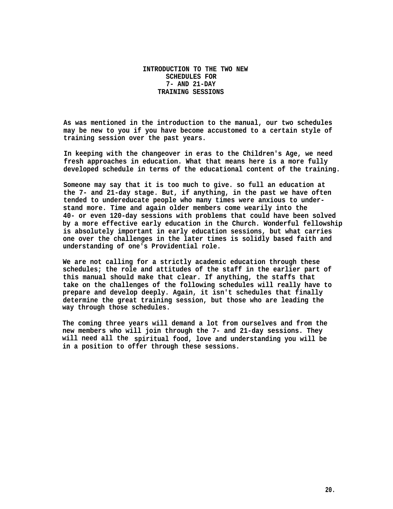# **INTRODUCTION TO THE TWO NEW SCHEDULES FOR 7- AND 21-DAY TRAINING SESSIONS**

**As was mentioned in the introduction to the manual, our two schedules may be new to you if you have become accustomed to a certain style of training session over the past years.**

**In keeping with the changeover in eras to the Children's Age, we need fresh approaches in education. What that means here is a more fully developed schedule in terms of the educational content of the training.**

**Someone may say that it is too much to give. so full an education at the 7- and 21-day stage. But, if anything, in the past we have often tended to undereducate people who many times were anxious to understand more. Time and again older members come wearily into the 40- or even 120-day sessions with problems that could have been solved by a more effective early education in the Church. Wonderful fellowship is absolutely important in early education sessions, but what carries one over the challenges in the later times is solidly based faith and understanding of one's Providential role.**

**We are not calling for a strictly academic education through these schedules; the role and attitudes of the staff in the earlier part of this manual should make that clear. If anything, the staffs that take on the challenges of the following schedules will really have to prepare and develop deeply. Again, it isn't schedules that finally determine the great training session, but those who are leading the way through those schedules.**

**The coming three years will demand a lot from ourselves and from the new members who will join through the 7- and 21-day sessions. They will need all the. spiritual food, love and understanding you will be in a position to offer through these sessions.**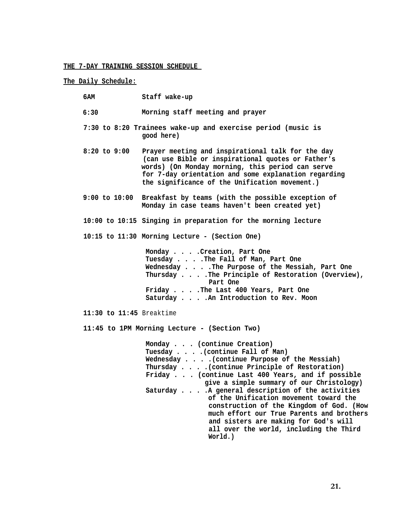## **THE 7-DAY TRAINING SESSION SCHEDULE**

# **The Daily Schedule:**

- **6:30 Morning staff meeting and prayer**
- **7:30 to 8:20 Trainees wake-up and exercise period (music is good here)**
- **8:20 to 9:00 Prayer meeting and inspirational talk for the day (can use Bible or inspirational quotes or Father's words) (On Monday morning, this period can serve for 7-day orientation and some explanation regarding the significance of the Unification movement.)**
- **9:00 to 10:00 Breakfast by teams (with the possible exception of Monday in case teams haven't been created yet)**
- **10:00 to 10:15 Singing in preparation for the morning lecture**

**10:15 to 11:30 Morning Lecture - (Section One)**

**Monday . . . .Creation, Part One Tuesday . . . .The Fall of Man, Part One Wednesday . . . .The Purpose of the Messiah, Part One Thursday . . . .The Principle of Restoration (Overview), Part One Friday . . . .The Last 400 Years, Part One Saturday . . . .An Introduction to Rev. Moon**

**11:30 to 11:45** Breaktime

• **11:45 to 1PM Morning Lecture - (Section Two)**

**Monday . . . (continue Creation) Tuesday . . . .(continue Fall of Man) Wednesday . . . .(continue Purpose of the Messiah) Thursday . . . .(continue Principle of Restoration) Friday . . . (continue Last 400 Years, and if possible give a simple summary of our Christology) Saturday . . . .A general description of the activities of the Unification movement toward the construction of the Kingdom of God. (How much effort our True Parents and brothers and sisters are making for God's will all over the world, including the Third World.)**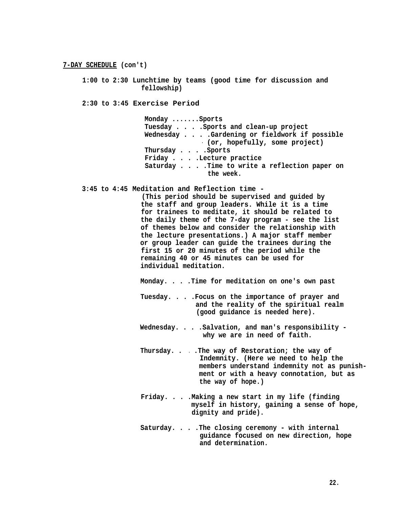**1:00 to 2:30 Lunchtime by teams (good time for discussion and fellowship)**

**2:30 to 3:45 Exercise Period**

**Monday .......Sports Tuesday . . . .Sports and clean-up project Wednesday . . . .Gardening or fieldwork if possible - (or, hopefully, some project) Thursday . . . .Sports Friday . . . .Lecture practice Saturday . . . .Time to write a reflection paper on the week.**

**3:45 to 4:45 Meditation and Reflection time -**

**(This period should be supervised and guided by the staff and group leaders. While it is a time for trainees to meditate, it should be related to the daily theme of the 7-day program - see the list of themes below and consider the relationship with the lecture presentations.) A major staff member or group leader can guide the trainees during the first 15 or 20 minutes of the period while the remaining 40 or 45 minutes can be used for individual meditation.**

**Monday. . . .Time for meditation on one's own past**

- **Tuesday. . . .Focus on the importance of prayer and and the reality of the spiritual realm (good guidance is needed here).**
- **Wednesday. . . .Salvation, and man's responsibility why we are in need of faith.**
- **Thursday. . . .The way of Restoration; the way of Indemnity. (Here we need to help the members understand indemnity not as punishment or with a heavy connotation, but as the way of hope.)**
- **Friday. . . .Making a new start in my life (finding myself in history, gaining a sense of hope, dignity and pride).**
- **Saturday. . . .The closing ceremony with internal guidance focused on new direction, hope and determination.**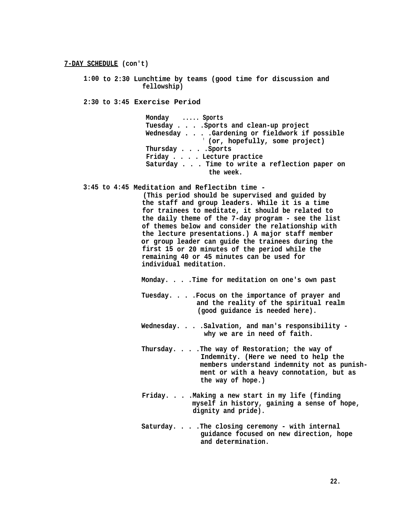**1:00 to 2:30 Lunchtime by teams (good time for discussion and fellowship)**

**2:30 to 3:45 Exercise Period**

**Monday ..... Sports Tuesday . . . .Sports and clean-up project Wednesday . . . .Gardening or fieldwork if possible " (or, hopefully, some project) Thursday . . . .Sports Friday . . . . Lecture practice Saturday . . . Time to write a reflection paper on the week.**

**3:45 to 4:45 Meditation and Reflectibn time -**

**(This period should be supervised and guided by the staff and group leaders. While it is a time for trainees to meditate, it should be related to the daily theme of the 7-day program - see the list of themes below and consider the relationship with the lecture presentations.) A major staff member or group leader can guide the trainees during the first 15 or 20 minutes of the period while the remaining 40 or 45 minutes can be used for individual meditation.**

**Monday. . . .Time for meditation on one's own past**

- **Tuesday. . . .Focus on the importance of prayer and and the reality of the spiritual realm (good guidance is needed here).**
- **Wednesday. . . .Salvation, and man's responsibility why we are in need of faith.**
- **Thursday. . . .The way of Restoration; the way of Indemnity. (Here we need to help the members understand indemnity not as punishment or with a heavy connotation, but as the way of hope.)**
- **Friday. . . .Making a new start in my life (finding myself in history, gaining a sense of hope, dignity and pride).**
- **Saturday. . . .The closing ceremony with internal guidance focused on new direction, hope and determination.**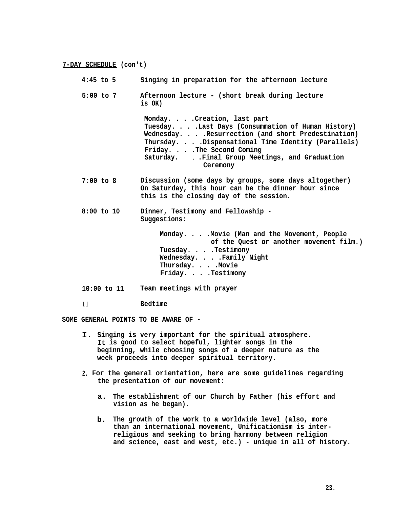| $4:45$ to $5$  | Singing in preparation for the afternoon lecture                                                                                                                                                                                                                                          |
|----------------|-------------------------------------------------------------------------------------------------------------------------------------------------------------------------------------------------------------------------------------------------------------------------------------------|
| $5:00$ to $7$  | Afternoon lecture - (short break during lecture<br>is OK)                                                                                                                                                                                                                                 |
|                | Monday. Creation, last part<br>Tuesday. Last Days (Consummation of Human History)<br>Wednesday. Resurrection (and short Predestination)<br>Thursday. Dispensational Time Identity (Parallels)<br>Friday. The Second Coming<br>Saturday. .Final Group Meetings, and Graduation<br>Ceremony |
| $7:00$ to $8$  | Discussion (some days by groups, some days altogether)<br>On Saturday, this hour can be the dinner hour since<br>this is the closing day of the session.                                                                                                                                  |
| $8:00$ to $10$ | Dinner, Testimony and Fellowship -<br>Suggestions:                                                                                                                                                                                                                                        |
|                | Monday. Movie (Man and the Movement, People<br>of the Quest or another movement film.)<br>Tuesday. Testimony<br>Wednesday. Family Night<br>Thursday. Movie<br>Friday. Testimony                                                                                                           |
| 10:00 to 11    | Team meetings with prayer                                                                                                                                                                                                                                                                 |
| 11             | Bedtime                                                                                                                                                                                                                                                                                   |
|                |                                                                                                                                                                                                                                                                                           |

**SOME GENERAL POINTS TO BE AWARE OF -**

- **I. Singing is very important for the spiritual atmosphere. It is good to select hopeful, lighter songs in the beginning, while choosing songs of a deeper nature as the week proceeds into deeper spiritual territory.**
- **2. For the general orientation, here are some guidelines regarding the presentation of our movement:**
	- **a. The establishment of our Church by Father (his effort and vision as he began).**
	- **b. The growth of the work to a worldwide level (also, more than an international movement, Unificationism is interreligious and seeking to bring harmony between religion and science, east and west, etc.) - unique in all of history.**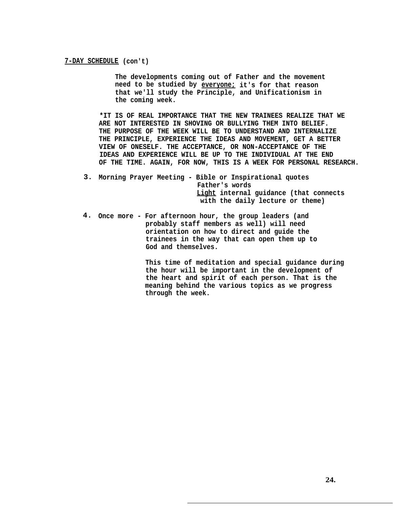**The developments coming out of Father and the movement need to be studied by everyone; it's for that reason that we'll study the Principle, and Unificationism in the coming week.**

**\*IT IS OF REAL IMPORTANCE THAT THE NEW TRAINEES REALIZE THAT WE ARE NOT INTERESTED IN SHOVING OR BULLYING THEM INTO BELIEF. THE PURPOSE OF THE WEEK WILL BE TO UNDERSTAND AND INTERNALIZE THE PRINCIPLE, EXPERIENCE THE IDEAS AND MOVEMENT, GET A BETTER VIEW OF ONESELF. THE ACCEPTANCE, OR NON-ACCEPTANCE OF THE IDEAS AND EXPERIENCE WILL BE UP TO THE INDIVIDUAL AT THE END OF THE TIME. AGAIN, FOR NOW, THIS IS A WEEK FOR PERSONAL RESEARCH.**

- **3. Morning Prayer Meeting Bible or Inspirational quotes Father's words Light internal guidance (that connects with the daily lecture or theme)**
- **4. Once more For afternoon hour, the group leaders (and probably staff members as well) will need orientation on how to direct and guide the trainees in the way that can open them up to God and themselves.**

**This time of meditation and special guidance during the hour will be important in the development of the heart and spirit of each person. That is the meaning behind the various topics as we progress through the week.**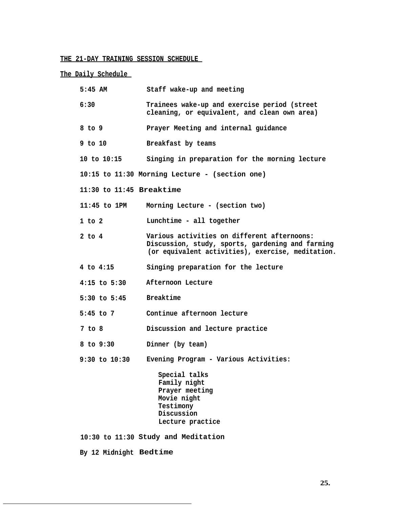# **THE 21-DAY TRAINING SESSION SCHEDULE**

**The Daily Schedule** 

| $5:45$ AM                    | Staff wake-up and meeting                                                                                                                            |
|------------------------------|------------------------------------------------------------------------------------------------------------------------------------------------------|
| 6:30                         | Trainees wake-up and exercise period (street<br>cleaning, or equivalent, and clean own area)                                                         |
| $8$ to $9$                   | Prayer Meeting and internal guidance                                                                                                                 |
| 9 to 10                      | Breakfast by teams                                                                                                                                   |
| 10 to 10:15                  | Singing in preparation for the morning lecture                                                                                                       |
|                              | $10:15$ to $11:30$ Morning Lecture - (section one)                                                                                                   |
| $11:30$ to $11:45$ Breaktime |                                                                                                                                                      |
| $11:45$ to $1PM$             | Morning Lecture - (section two)                                                                                                                      |
| $1$ to $2$                   | Lunchtime - all together                                                                                                                             |
| $2$ to $4$                   | Various activities on different afternoons:<br>Discussion, study, sports, gardening and farming<br>(or equivalent activities), exercise, meditation. |
| 4 to 4:15                    | Singing preparation for the lecture                                                                                                                  |
| $4:15$ to $5:30$             | Afternoon Lecture                                                                                                                                    |
| $5:30$ to $5:45$             | <b>Breaktime</b>                                                                                                                                     |
| $5:45$ to $7$                | Continue afternoon lecture                                                                                                                           |
| 7 to 8                       | Discussion and lecture practice                                                                                                                      |
| $8$ to $9:30$                | Dinner (by team)                                                                                                                                     |
| $9:30$ to $10:30$            | Evening Program - Various Activities:                                                                                                                |
|                              | Special talks<br>Family night<br>Prayer meeting<br>Movie night<br>Testimony<br>Discussion<br>Lecture practice                                        |
|                              | 10:30 to 11:30 Study and Meditation                                                                                                                  |
| By 12 Midnight Bedtime       |                                                                                                                                                      |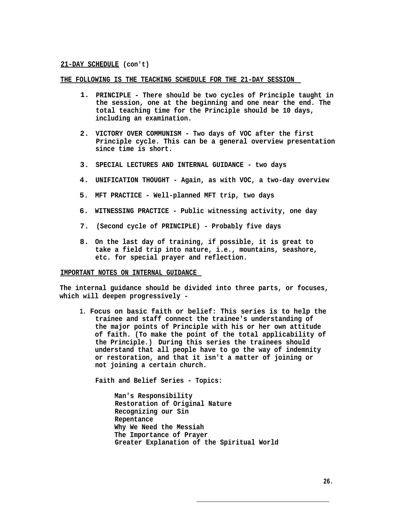**THE FOLLOWING IS THE TEACHING SCHEDULE FOR THE 21-DAY SESSION** 

- **1. PRINCIPLE There should be two cycles of Principle taught in the session, one at the beginning and one near the end. The total teaching time for the Principle should be 10 days, including an examination.**
- **2. VICTORY OVER COMMUNISM Two days of VOC after the first Principle cycle. This can be a general overview presentation since time is short.**
- **3. SPECIAL LECTURES AND INTERNAL GUIDANCE two days**
- **4. UNIFICATION THOUGHT Again, as with VOC, a two-day overview**
- **5. MFT PRACTICE Well-planned MFT trip, two days**
- **6. WITNESSING PRACTICE Public witnessing activity, one day**
- **7. (Second cycle of PRINCIPLE) Probably five days**
- **8. On the last day of training, if possible, it is great to take a field trip into nature, i.e., mountains, seashore, etc. for special prayer and reflection.**

#### **IMPORTANT NOTES ON INTERNAL GUIDANCE**

**The internal guidance should be divided into three parts, or focuses, which will deepen progressively -**

**1. Focus on basic faith or belief: This series is to help the trainee and staff connect the trainee's understanding of the major points of Principle with his or her own attitude of faith. (To make the point of the total applicability of the Principle.) - During this series the trainees should understand that all people have to go the way of indemnity or restoration, and that it isn't a matter of joining or not joining a certain church.**

**Faith and Belief Series - Topics:**

**Man's Responsibility Restoration of Original Nature Recognizing our Sin Repentance Why We Need the Messiah The Importance of Prayer Greater Explanation of the Spiritual World**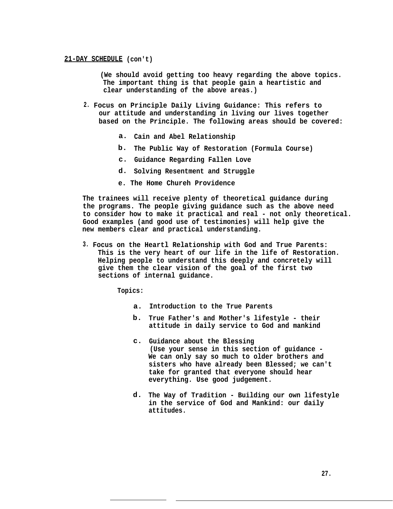**(We should avoid getting too heavy regarding the above topics. The important thing is that people gain a heartistic and clear understanding of the above areas.)**

- **2. Focus on Principle Daily Living Guidance: This refers to our attitude and understanding in living our lives together based on the Principle. The following areas should be covered:**
	- **a. Cain and Abel Relationship**
	- **b. The Public Way of Restoration (Formula Course)**
	- **c. Guidance Regarding Fallen Love**
	- **d. Solving Resentment and Struggle**
	- **e. The Home Chureh Providence**

**The trainees will receive plenty of theoretical guidance during the programs. The people giving guidance such as the above need to consider how to make it practical and real - not only theoretical. Good examples (and good use of testimonies) will help give the new members clear and practical understanding.**

**3. Focus on the Heartl Relationship with God and True Parents: This is the very heart of our life in the life of Restoration. Helping people to understand this deeply and concretely will give them the clear vision of the goal of the first two sections of internal guidance.**

**Topics:**

- **a. Introduction to the True Parents**
- **b. True Father's and Mother's lifestyle their attitude in daily service to God and mankind**
- **c. Guidance about the Blessing (Use your sense in this section of guidance - We can only say so much to older brothers and sisters who have already been Blessed; we can't take for granted that everyone should hear everything. Use good judgement.**
- **d. The Way of Tradition Building our own lifestyle in the service of God and Mankind: our daily attitudes.**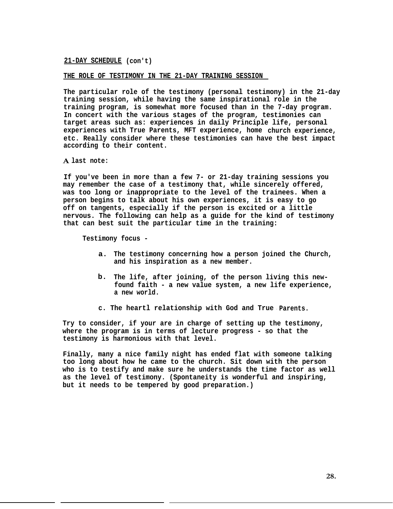**THE ROLE OF TESTIMONY IN THE 21-DAY TRAINING SESSION** 

**The particular role of the testimony (personal testimony) in the 21-day training session, while having the same inspirational role in the training program, is somewhat more focused than in the 7-day program. In concert with the various stages of the program, testimonies can target areas such as: experiences in daily Principle life, personal experiences with True Parents, MFT experience, home church experience, etc. Really consider where these testimonies can have the best impact according to their content.**

**A last note:**

**If you've been in more than a few 7- or 21-day training sessions you may remember the case of a testimony that, while sincerely offered, was too long or inappropriate to the level of the trainees. When a person begins to talk about his own experiences, it is easy to go off on tangents, especially if the person is excited or a little nervous. The following can help as a guide for the kind of testimony that can best suit the particular time in the training:**

**Testimony focus -**

- **a. The testimony concerning how a person joined the Church, and his inspiration as a new member.**
- **b. The life, after joining, of the person living this newfound faith - a new value system, a new life experience, a new world.**
- **c. The heartl relationship with God and True - Parents.**

**Try to consider, if your are in charge of setting up the testimony, where the program is in terms of lecture progress - so that the testimony is harmonious with that level.**

**Finally, many a nice family night has ended flat with someone talking too long about how he came to the church. Sit down with the person who is to testify and make sure he understands the time factor as well as the level of testimony. (Spontaneity is wonderful and inspiring, but it needs to be tempered by good preparation.)**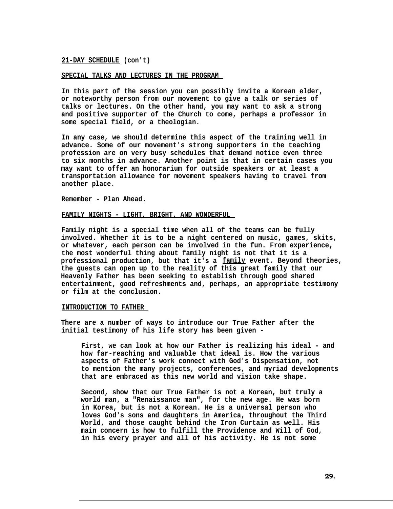#### **SPECIAL TALKS AND LECTURES IN THE PROGRAM**

**In this part of the session you can possibly invite a Korean elder, or noteworthy person from our movement to give a talk or series of talks or lectures. On the other hand, you may want to ask a strong and positive supporter of the Church to come, perhaps a professor in some special field, or a theologian.**

**In any case, we should determine this aspect of the training well in advance. Some of our movement's strong supporters in the teaching profession are on very busy schedules that demand notice even three to six months in advance. Another point is that in certain cases you may want to offer an honorarium for outside speakers or at least a transportation allowance for movement speakers having to travel from another place.**

**Remember - Plan Ahead.**

#### **FAMILY NIGHTS - LIGHT, BRIGHT, AND WONDERFUL**

**Family night is a special time when all of the teams can be fully involved. Whether it is to be a night centered on music, games, skits, or whatever, each person can be involved in the fun. From experience, the most wonderful thing about family night is not that it is a professional production, but that it's a family event. Beyond theories, the guests can open up to the reality of this great family that our Heavenly Father has been seeking to establish through good shared entertainment, good refreshments and, perhaps, an appropriate testimony or film at the conclusion.**

## **INTRODUCTION TO FATHER**

**There are a number of ways to introduce our True Father after the initial testimony of his life story has been given -**

**First, we can look at how our Father is realizing his ideal - and how far-reaching and valuable that ideal is. How the various aspects of Father's work connect with God's Dispensation, not to mention the many projects, conferences, and myriad developments that are embraced as this new world and vision take shape.**

**Second, show that our True Father is not a Korean, but truly a world man, a "Renaissance man", for the new age. He was born in Korea, but is not a Korean. He is a universal person who loves God's sons and daughters in America, throughout the Third World, and those caught behind the Iron Curtain as well. His main concern is how to fulfill the Providence and Will of God, in his every prayer and all of his activity. He is not some**